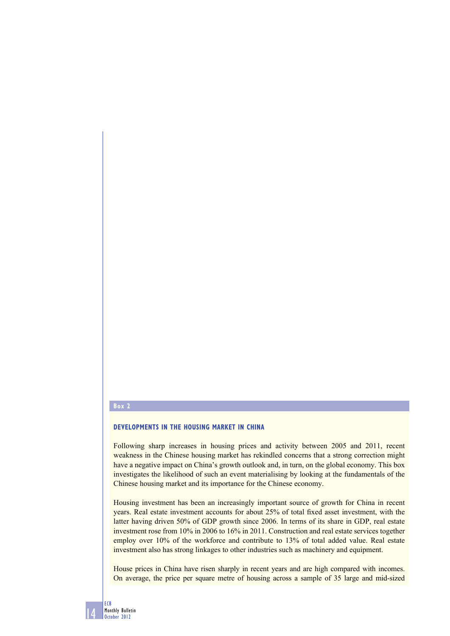## **Box 2**

## **DEVELOPMENTS IN THE HOUSING MARKET IN CHINA**

Following sharp increases in housing prices and activity between 2005 and 2011, recent weakness in the Chinese housing market has rekindled concerns that a strong correction might have a negative impact on China's growth outlook and, in turn, on the global economy. This box investigates the likelihood of such an event materialising by looking at the fundamentals of the Chinese housing market and its importance for the Chinese economy.

Housing investment has been an increasingly important source of growth for China in recent years. Real estate investment accounts for about 25% of total fixed asset investment, with the latter having driven 50% of GDP growth since 2006. In terms of its share in GDP, real estate investment rose from 10% in 2006 to 16% in 2011. Construction and real estate services together employ over 10% of the workforce and contribute to 13% of total added value. Real estate investment also has strong linkages to other industries such as machinery and equipment.

House prices in China have risen sharply in recent years and are high compared with incomes. On average, the price per square metre of housing across a sample of 35 large and mid-sized

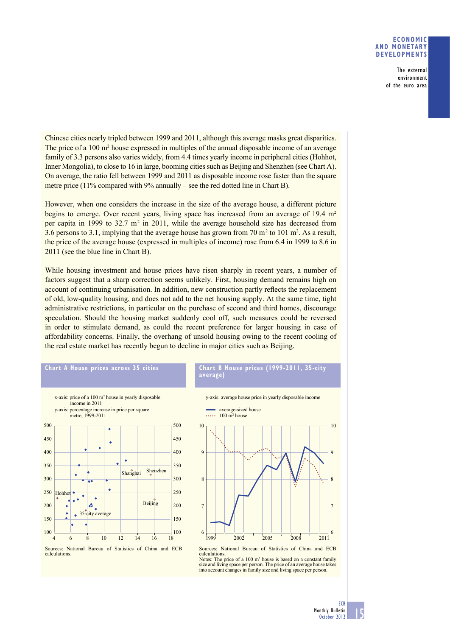## **ECONOMIC AND MONETARY DEVELOPMENTS**

The external environment of the euro area

Chinese cities nearly tripled between 1999 and 2011, although this average masks great disparities. The price of a  $100 \text{ m}^2$  house expressed in multiples of the annual disposable income of an average family of 3.3 persons also varies widely, from 4.4 times yearly income in peripheral cities (Hohhot, Inner Mongolia), to close to 16 in large, booming cities such as Beijing and Shenzhen (see Chart A). On average, the ratio fell between 1999 and 2011 as disposable income rose faster than the square metre price (11% compared with 9% annually – see the red dotted line in Chart B).

However, when one considers the increase in the size of the average house, a different picture begins to emerge. Over recent years, living space has increased from an average of 19.4  $m<sup>2</sup>$ per capita in 1999 to 32.7  $m<sup>2</sup>$  in 2011, while the average household size has decreased from 3.6 persons to 3.1, implying that the average house has grown from 70  $\text{m}^2$  to 101  $\text{m}^2$ . As a result, the price of the average house (expressed in multiples of income) rose from 6.4 in 1999 to 8.6 in 2011 (see the blue line in Chart B).

While housing investment and house prices have risen sharply in recent years, a number of factors suggest that a sharp correction seems unlikely. First, housing demand remains high on account of continuing urbanisation. In addition, new construction partly reflects the replacement of old, low-quality housing, and does not add to the net housing supply. At the same time, tight administrative restrictions, in particular on the purchase of second and third homes, discourage speculation. Should the housing market suddenly cool off, such measures could be reversed in order to stimulate demand, as could the recent preference for larger housing in case of affordability concerns. Finally, the overhang of unsold housing owing to the recent cooling of the real estate market has recently begun to decline in major cities such as Beijing.



## x-axis: price of a 100 m2 house in yearly disposable income in 2011 y-axis: percentage increase in price per square metre, 1999-2011 500 500 450 450  $\bullet$ ä 400 400 ÷ 350 350 Shanghai Shenzhen 300 300 250 250 Hohhot  $\ddot{\phantom{0}}$  $\ddot{\bullet}$ **Beijing**  $200$ 200 A 35-city average 150 150 100  $\frac{1}{18}$  100 4 6 8 10 12 14 16 18

Sources: National Bureau of Statistics of China and ECB

calculations.





Notes: The price of a  $100 \text{ m}^2$  house is based on a constant family size and living space per person. The price of an average house takes into account changes in family size and living space per person.